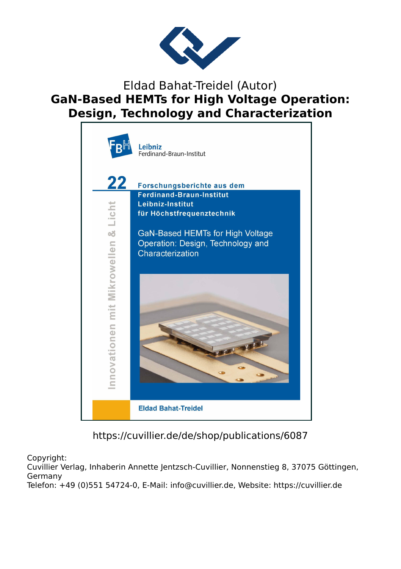

## Eldad Bahat-Treidel (Autor) **GaN-Based HEMTs for High Voltage Operation: Design, Technology and Characterization**



https://cuvillier.de/de/shop/publications/6087

Copyright:

Cuvillier Verlag, Inhaberin Annette Jentzsch-Cuvillier, Nonnenstieg 8, 37075 Göttingen, Germany

Telefon: +49 (0)551 54724-0, E-Mail: info@cuvillier.de, Website: https://cuvillier.de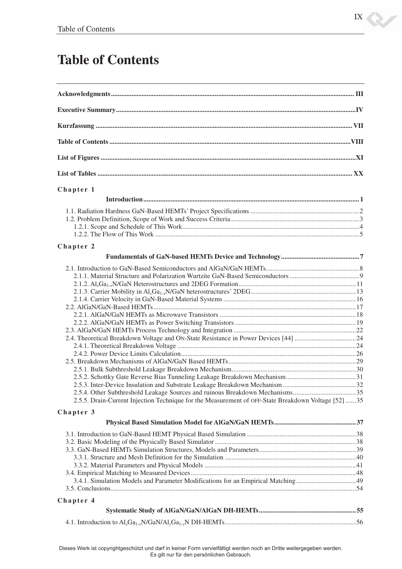## **Table of Contents**

| Chapter 1                                                                                           |  |
|-----------------------------------------------------------------------------------------------------|--|
|                                                                                                     |  |
|                                                                                                     |  |
|                                                                                                     |  |
|                                                                                                     |  |
|                                                                                                     |  |
|                                                                                                     |  |
| Chapter 2                                                                                           |  |
|                                                                                                     |  |
|                                                                                                     |  |
|                                                                                                     |  |
|                                                                                                     |  |
|                                                                                                     |  |
|                                                                                                     |  |
|                                                                                                     |  |
|                                                                                                     |  |
|                                                                                                     |  |
|                                                                                                     |  |
|                                                                                                     |  |
|                                                                                                     |  |
|                                                                                                     |  |
|                                                                                                     |  |
|                                                                                                     |  |
|                                                                                                     |  |
| 2.5.5. Drain-Current Injection Technique for the Measurement of OFF-State Breakdown Voltage [52] 35 |  |
|                                                                                                     |  |
| Chapter 3                                                                                           |  |
|                                                                                                     |  |
|                                                                                                     |  |
|                                                                                                     |  |
|                                                                                                     |  |
|                                                                                                     |  |
|                                                                                                     |  |
|                                                                                                     |  |
|                                                                                                     |  |
| Chapter 4                                                                                           |  |
|                                                                                                     |  |
|                                                                                                     |  |
|                                                                                                     |  |